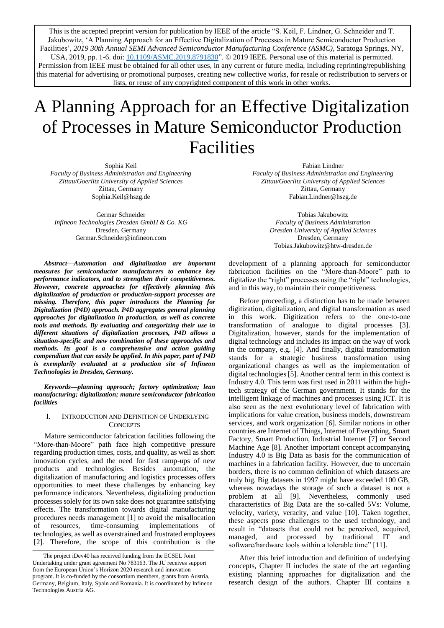This is the accepted preprint version for publication by IEEE of the article "S. Keil, F. Lindner, G. Schneider and T. Jakubowitz, 'A Planning Approach for an Effective Digitalization of Processes in Mature Semiconductor Production Facilities', *2019 30th Annual SEMI Advanced Semiconductor Manufacturing Conference (ASMC)*, Saratoga Springs, NY, USA, 2019, pp. 1-6. doi: [10.1109/ASMC.2019.8791830"](https://dx.doi.org/10.1109/ASMC.2019.8791830). © 2019 IEEE. Personal use of this material is permitted. Permission from IEEE must be obtained for all other uses, in any current or future media, including reprinting/republishing this material for advertising or promotional purposes, creating new collective works, for resale or redistribution to servers or lists, or reuse of any copyrighted component of this work in other works.

# A Planning Approach for an Effective Digitalization of Processes in Mature Semiconductor Production Facilities

Sophia Keil *Faculty of Business Administration and Engineering Zittau/Goerlitz University of Applied Sciences* Zittau, Germany Sophia.Keil@hszg.de

Germar Schneider *Infineon Technologies Dresden GmbH & Co. KG* Dresden, Germany Germar.Schneider@infineon.com

*Abstract—Automation and digitalization are important measures for semiconductor manufacturers to enhance key performance indicators, and to strengthen their competitiveness. However, concrete approaches for effectively planning this digitalization of production or production-support processes are missing. Therefore, this paper introduces the Planning for Digitalization (P4D) approach. P4D aggregates general planning approaches for digitalization in production, as well as concrete tools and methods. By evaluating and categorizing their use in different situations of digitalization processes, P4D allows a situation-specific and new combination of these approaches and methods. Its goal is a comprehensive and action guiding compendium that can easily be applied. In this paper, part of P4D is exemplarily evaluated at a production site of Infineon Technologies in Dresden, Germany.*

*Keywords—planning approach; factory optimization; lean manufacturing; digitalization; mature semiconductor fabrication facilities*

## I. INTRODUCTION AND DEFINITION OF UNDERLYING **CONCEPTS**

Mature semiconductor fabrication facilities following the "More-than-Moore" path face high competitive pressure regarding production times, costs, and quality, as well as short innovation cycles, and the need for fast ramp-ups of new products and technologies. Besides automation, the digitalization of manufacturing and logistics processes offers opportunities to meet these challenges by enhancing key performance indicators. Nevertheless, digitalizing production processes solely for its own sake does not guarantee satisfying effects. The transformation towards digital manufacturing procedures needs management [1] to avoid the misallocation of resources, time-consuming implementations of technologies, as well as overstrained and frustrated employees [2]. Therefore, the scope of this contribution is the

Fabian Lindner *Faculty of Business Administration and Engineering Zittau/Goerlitz University of Applied Sciences* Zittau, Germany Fabian.Lindner@hszg.de

> Tobias Jakubowitz *Faculty of Business Administration Dresden University of Applied Sciences* Dresden, Germany Tobias.Jakubowitz@htw-dresden.de

development of a planning approach for semiconductor fabrication facilities on the "More-than-Moore" path to digitalize the "right" processes using the "right" technologies, and in this way, to maintain their competitiveness.

Before proceeding, a distinction has to be made between digitization, digitalization, and digital transformation as used in this work. Digitization refers to the one-to-one transformation of analogue to digital processes [3]. Digitalization, however, stands for the implementation of digital technology and includes its impact on the way of work in the company, e.g. [4]. And finally, digital transformation stands for a strategic business transformation using organizational changes as well as the implementation of digital technologies [5]. Another central term in this context is Industry 4.0. This term was first used in 2011 within the hightech strategy of the German government. It stands for the intelligent linkage of machines and processes using ICT. It is also seen as the next evolutionary level of fabrication with implications for value creation, business models, downstream services, and work organization [6]. Similar notions in other countries are Internet of Things, Internet of Everything, Smart Factory, Smart Production, Industrial Internet [7] or Second Machine Age [8]. Another important concept accompanying Industry 4.0 is Big Data as basis for the communication of machines in a fabrication facility. However, due to uncertain borders, there is no common definition of which datasets are truly big. Big datasets in 1997 might have exceeded 100 GB, whereas nowadays the storage of such a dataset is not a problem at all [9]. Nevertheless, commonly used characteristics of Big Data are the so-called 5Vs: Volume, velocity, variety, veracity, and value [10]. Taken together, these aspects pose challenges to the used technology, and result in "datasets that could not be perceived, acquired, managed, and processed by traditional IT and software/hardware tools within a tolerable time" [11].

After this brief introduction and definition of underlying concepts, Chapter II includes the state of the art regarding existing planning approaches for digitalization and the research design of the authors. Chapter III contains a

The project iDev40 has received funding from the ECSEL Joint Undertaking under grant agreement No 783163. The JU receives support from the European Union's Horizon 2020 research and innovation program. It is co-funded by the consortium members, grants from Austria, Germany, Belgium, Italy, Spain and Romania. It is coordinated by Infineon Technologies Austria AG.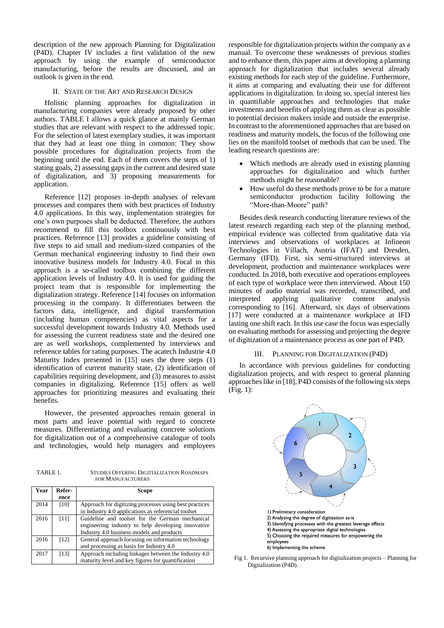description of the new approach Planning for Digitalization (P4D). Chapter IV includes a first validation of the new approach by using the example of semiconductor manufacturing, before the results are discussed, and an outlook is given in the end.

# II. STATE OF THE ART AND RESEARCH DESIGN

Holistic planning approaches for digitalization in manufacturing companies were already proposed by other authors. TABLE I allows a quick glance at mainly German studies that are relevant with respect to the addressed topic. For the selection of latest exemplary studies, it was important that they had at least one thing in common: They show possible procedures for digitalization projects from the beginning until the end. Each of them covers the steps of 1) stating goals, 2) assessing gaps in the current and desired state of digitalization, and 3) proposing measurements for application.

Reference [12] proposes in-depth analyses of relevant processes and compares them with best practices of Industry 4.0 applications. In this way, implementation strategies for one's own purposes shall be deducted. Therefore, the authors recommend to fill this toolbox continuously with best practices. Reference [13] provides a guideline consisting of five steps to aid small and medium-sized companies of the German mechanical engineering industry to find their own innovative business models for Industry 4.0. Focal in this approach is a so-called toolbox combining the different application levels of Industry 4.0. It is used for guiding the project team that is responsible for implementing the digitalization strategy. Reference [14] focuses on information processing in the company. It differentiates between the factors data, intelligence, and digital transformation (including human competencies) as vital aspects for a successful development towards Industry 4.0. Methods used for assessing the current readiness state and the desired one are as well workshops, complemented by interviews and reference tables for rating purposes. The acatech Industrie 4.0 Maturity Index presented in [15] uses the three steps (1) identification of current maturity state, (2) identification of capabilities requiring development, and (3) measures to assist companies in digitalizing. Reference [15] offers as well approaches for prioritizing measures and evaluating their benefits.

However, the presented approaches remain general in most parts and leave potential with regard to concrete measures. Differentiating and evaluating concrete solutions for digitalization out of a comprehensive catalogue of tools and technologies, would help managers and employees

TABLE 1. STUDIES OFFERING DIGITIALIZATION ROADMAPS FOR MANUFACTURERS

| Year | Refer- | Scope                                                  |  |  |  |  |  |  |  |  |
|------|--------|--------------------------------------------------------|--|--|--|--|--|--|--|--|
|      | ence   |                                                        |  |  |  |  |  |  |  |  |
| 2014 | [10]   | Approach for digitizing processes using best practices |  |  |  |  |  |  |  |  |
|      |        | in Industry 4.0 applications as referencial toolset    |  |  |  |  |  |  |  |  |
| 2016 | [11]   | Guideline and toolset for the German mechanical        |  |  |  |  |  |  |  |  |
|      |        | engineering industry to help developing innovative     |  |  |  |  |  |  |  |  |
|      |        | Industry 4.0 business models and products              |  |  |  |  |  |  |  |  |
| 2016 | [12]   | General approach focusing on information technology    |  |  |  |  |  |  |  |  |
|      |        | and processing as basis for Industry 4.0               |  |  |  |  |  |  |  |  |
| 2017 | [13]   | Approach including linkages between the Industry 4.0   |  |  |  |  |  |  |  |  |
|      |        | maturity level and key figures for quantification      |  |  |  |  |  |  |  |  |

responsible for digitalization projects within the company as a manual. To overcome these weaknesses of previous studies and to enhance them, this paper aims at developing a planning approach for digitalization that includes several already existing methods for each step of the guideline. Furthermore, it aims at comparing and evaluating their use for different applications in digitalization. In doing so, special interest lies in quantifiable approaches and technologies that make investments and benefits of applying them as clear as possible to potential decision makers inside and outside the enterprise. In contrast to the aforementioned approaches that are based on readiness and maturity models, the focus of the following one lies on the manifold toolset of methods that can be used. The leading research questions are:

- Which methods are already used in existing planning approaches for digitalization and which further methods might be reasonable?
- How useful do these methods prove to be for a mature semiconductor production facility following the "More-than-Moore" path?

Besides desk research conducting literature reviews of the latest research regarding each step of the planning method, empirical evidence was collected from qualitative data via interviews and observations of workplaces at Infineon Technologies in Villach, Austria (IFAT) and Dresden, Germany (IFD). First, six semi-structured interviews at development, production and maintenance workplaces were conducted. In 2018, both executive and operations employees of each type of workplace were then interviewed. About 150 minutes of audio material was recorded, transcribed, and interpreted applying qualitative content analysis corresponding to [16]. Afterward, six days of observations [17] were conducted at a maintenance workplace at IFD lasting one shift each. In this use case the focus was especially on evaluating methods for assessing and projecting the degree of digitization of a maintenance process as one part of P4D.

# III. PLANNING FOR DIGITALIZATION (P4D)

In accordance with previous guidelines for conducting digitalization projects, and with respect to general planning approaches like in [18], P4D consists of the following six steps  $(Fi\mathfrak{g}, 1)$ :



Fig 1. Recursive planning approach for digitalization projects – Planning for Digitalization (P4D).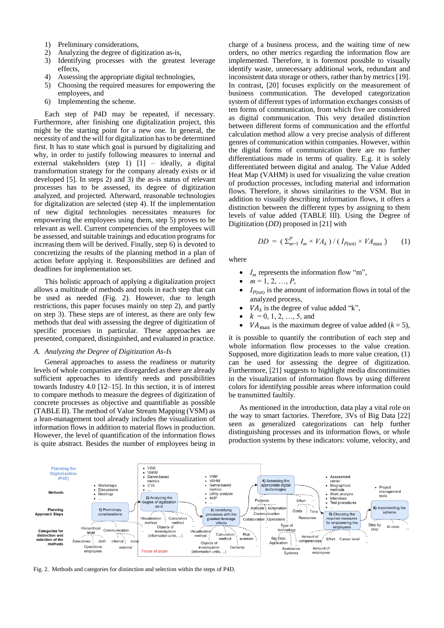- 1) Preliminary considerations,
- 2) Analyzing the degree of digitization as-is,
- 3) Identifying processes with the greatest leverage effects,
- 4) Assessing the appropriate digital technologies,
- 5) Choosing the required measures for empowering the employees, and
- 6) Implementing the scheme.

Each step of P4D may be repeated, if necessary. Furthermore, after finishing one digitalization project, this might be the starting point for a new one. In general, the necessity of and the will for digitalization has to be determined first. It has to state which goal is pursued by digitalizing and why, in order to justify following measures to internal and external stakeholders (step 1) [1] – ideally, a digital transformation strategy for the company already exists or id developed [5]. In steps 2) and 3) the as-is status of relevant processes has to be assessed, its degree of digitization analyzed, and projected. Afterward, reasonable technologies for digitalization are selected (step 4). If the implementation of new digital technologies necessitates measures for empowering the employees using them, step 5) proves to be relevant as well. Current competencies of the employees will be assessed, and suitable trainings and education programs for increasing them will be derived. Finally, step 6) is devoted to concretizing the results of the planning method in a plan of action before applying it. Responsibilities are defined and deadlines for implementation set.

This holistic approach of applying a digitalization project allows a multitude of methods and tools in each step that can be used as needed (Fig. 2). However, due to length restrictions, this paper focuses mainly on step 2), and partly on step 3). These steps are of interest, as there are only few methods that deal with assessing the degree of digitization of specific processes in particular. These approaches are presented, compared, distinguished, and evaluated in practice.

## *A. Analyzing the Degree of Digitization As-Is*

General approaches to assess the readiness or maturity levels of whole companies are disregarded as there are already sufficient approaches to identify needs and possibilities towards Industry 4.0 [12–15]. In this section, it is of interest to compare methods to measure the degrees of digitization of concrete processes as objective and quantifiable as possible (TABLE II). The method of Value Stream Mapping (VSM) as a lean-management tool already includes the visualization of information flows in addition to material flows in production. However, the level of quantification of the information flows is quite abstract. Besides the number of employees being in

charge of a business process, and the waiting time of new orders, no other metrics regarding the information flow are implemented. Therefore, it is foremost possible to visually identify waste, unnecessary additional work, redundant and inconsistent data storage or others, rather than by metrics [19]. In contrast, [20] focuses explicitly on the measurement of business communication. The developed categorization system of different types of information exchanges consists of ten forms of communication, from which five are considered as digital communication. This very detailed distinction between different forms of communication and the effortful calculation method allow a very precise analysis of different genres of communication within companies. However, within the digital forms of communication there are no further differentiations made in terms of quality. E.g. it is solely differentiated between digital and analog. The Value Added Heat Map (VAHM) is used for visualizing the value creation of production processes, including material and information flows. Therefore, it shows similarities to the VSM. But in addition to visually describing information flows, it offers a distinction between the different types by assigning to them levels of value added (TABLE III). Using the Degree of Digitization (*DD*) proposed in [21] with

$$
DD = \left(\sum_{m=1}^{P} I_m \times VA_k\right) / \left(I_{P(\text{tot})} \times VA_{\text{max}}\right) \tag{1}
$$

where

- $I_m$  represents the information flow "m",
- $m = 1, 2, ..., P$
- $I_{P(tot)}$  is the amount of information flows in total of the analyzed process,
- $VA_k$  is the degree of value added "k",
- $k = 0, 1, 2, ..., 5$ , and
- $VA_{\text{max}}$  is the maximum degree of value added ( $k = 5$ ),

it is possible to quantify the contribution of each step and whole information flow processes to the value creation. Supposed, more digitization leads to more value creation, (1) can be used for assessing the degree of digitization. Furthermore, [21] suggests to highlight media discontinuities in the visualization of information flows by using different colors for identifying possible areas where information could be transmitted faultily.

As mentioned in the introduction, data play a vital role on the way to smart factories. Therefore, 3Vs of Big Data [22] seen as generalized categorizations can help further distinguishing processes and its information flows, or whole production systems by these indicators: volume, velocity, and



Fig. 2. Methods and categories for distinction and selection within the steps of P4D.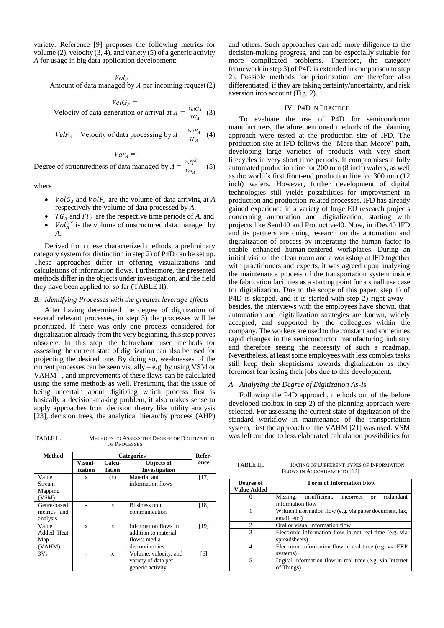variety. Reference [9] proposes the following metrics for volume (2), velocity  $(3, 4)$ , and variety (5) of a generic activity *A* for usage in big data application development:

*VelG<sup>A</sup> =*

 $Vol<sub>A</sub>$  = Amount of data managed by *A* per incoming request(2)

$$
VelG_A =
$$
  
Velocity of data generation or arrival at  $A = \frac{VolG_A}{TG_A}$  (3)

$$
VelP_A = Velocity \text{ of data processing by } A = \frac{VolP_A}{TP_A} \quad (4)
$$

$$
Var_A =
$$
  
Degree of structuredness of data managed by  $A = \frac{Vol_A^{US}}{Vol_A}$  (5)

where

- $VolG_A$  and  $VolP_A$  are the volume of data arriving at A respectively the volume of data processed by *A*,
- $TG_A$  and  $TP_A$  are the respective time periods of A, and
- $Vol_A^{US}$  is the volume of unstructured data managed by *A*.

Derived from these characterized methods, a preliminary category system for distinction in step 2) of P4D can be set up. These approaches differ in offering visualizations and calculations of information flows. Furthermore, the presented methods differ in the objects under investigation, and the field they have been applied to, so far (TABLE II).

## *B. Identifying Processes with the greatest leverage effects*

After having determined the degree of digitization of several relevant processes, in step 3) the processes will be prioritized. If there was only one process considered for digitalization already from the very beginning, this step proves obsolete. In this step, the beforehand used methods for assessing the current state of digitization can also be used for projecting the desired one. By doing so, weaknesses of the current processes can be seen visually – e.g. by using VSM or VAHM –, and improvements of these flaws can be calculated using the same methods as well. Presuming that the issue of being uncertain about digitizing which process first is basically a decision-making problem, it also makes sense to apply approaches from decision theory like utility analysis [23], decision trees, the analytical hierarchy process (AHP)

TABLE II. METHODS TO ASSESS THE DEGREE OF DIGITIZATION OF PROCESSES

| <b>Method</b>                          |                    | Refer-           |                                                                                 |      |
|----------------------------------------|--------------------|------------------|---------------------------------------------------------------------------------|------|
|                                        | Visual-<br>ization | Calcu-<br>lation | Objects of<br><b>Investigation</b>                                              | ence |
| Value<br>Stream<br>Mapping<br>(VSM)    | X                  | (x)              | Material and<br>information flows                                               | [17] |
| Genre-based<br>metrics and<br>analysis |                    | $\mathbf{x}$     | <b>Business unit</b><br>communication                                           | [18] |
| Value<br>Added Heat<br>Map<br>(VAHM)   | X                  | X                | Information flows in<br>addition to material<br>flows; media<br>discontinuities | [19] |
| 3V <sub>S</sub>                        |                    | X                | Volume, velocity, and<br>variety of data per<br>generic activity                | [6]  |

and others. Such approaches can add more diligence to the decision-making progress, and can be especially suitable for more complicated problems. Therefore, the category framework in step 3) of P4D is extended in comparison to step 2). Possible methods for prioritization are therefore also differentiated, if they are taking certainty/uncertainty, and risk aversion into account (Fig. 2).

## IV. P4D IN PRACTICE

To evaluate the use of P4D for semiconductor manufacturers, the aforementioned methods of the planning approach were tested at the production site of IFD. The production site at IFD follows the "More-than-Moore" path, developing large varieties of products with very short lifecycles in very short time periods. It compromises a fully automated production line for 200 mm (8 inch) wafers, as well as the world's first front-end production line for 300 mm (12 inch) wafers. However, further development of digital technologies still yields possibilities for improvement in production and production-related processes. IFD has already gained experience in a variety of huge EU research projects concerning automation and digitalization, starting with projects like SemI40 and Productive40. Now, in iDev40 IFD and its partners are doing research on the automation and digitalization of process by integrating the human factor to enable enhanced human-centered workplaces. During an initial visit of the clean room and a workshop at IFD together with practitioners and experts, it was agreed upon analyzing the maintenance process of the transportation system inside the fabrication facilities as a starting point for a small use case for digitalization. Due to the scope of this paper, step 1) of P4D is skipped, and it is started with step 2) right away – besides, the interviews with the employees have shown, that automation and digitalization strategies are known, widely accepted, and supported by the colleagues within the company. The workers are used to the constant and sometimes rapid changes in the semiconductor manufacturing industry and therefore seeing the necessity of such a roadmap. Nevertheless, at least some employees with less complex tasks still keep their skepticisms towards digitalization as they foremost fear losing their jobs due to this development.

#### *A. Analyzing the Degree of Digitization As-Is*

Following the P4D approach, methods out of the before developed toolbox in step 2) of the planning approach were selected. For assessing the current state of digitization of the standard workflow in maintenance of the transportation system, first the approach of the VAHM [21] was used. VSM was left out due to less elaborated calculation possibilities for

TABLE III. RATING OF DIFFERENT TYPES OF INFORMATION FLOWS IN ACCORDANCE TO [12]

| Degree of<br><b>Value Added</b> | <b>Form of Information Flow</b>                                                  |  |  |  |  |  |  |  |  |
|---------------------------------|----------------------------------------------------------------------------------|--|--|--|--|--|--|--|--|
|                                 | Missing, insufficient,<br>redundant<br>incorrect<br>$\alpha$<br>information flow |  |  |  |  |  |  |  |  |
|                                 | Written information flow (e.g. via paper document, fax,<br>email, etc.)          |  |  |  |  |  |  |  |  |
| 2                               | Oral or visual information flow                                                  |  |  |  |  |  |  |  |  |
| 3                               | Electronic information flow in not-real-time (e.g. via<br>spreadsheets)          |  |  |  |  |  |  |  |  |
|                                 | Electronic information flow in real-time (e.g. via ERP)<br>systems)              |  |  |  |  |  |  |  |  |
| 5                               | Digital information flow in real-time (e.g. via Internet<br>of Things)           |  |  |  |  |  |  |  |  |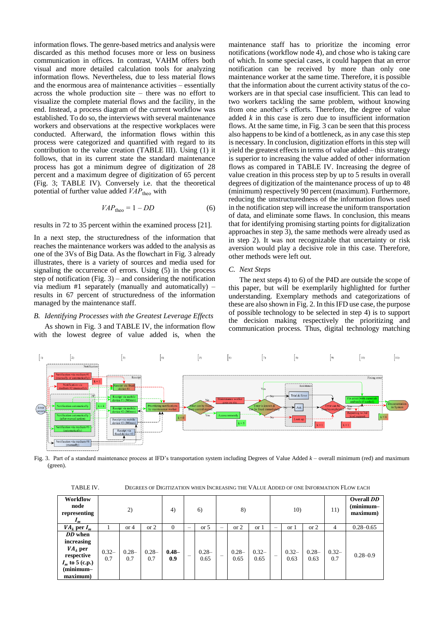information flows. The genre-based metrics and analysis were discarded as this method focuses more or less on business communication in offices. In contrast, VAHM offers both visual and more detailed calculation tools for analyzing information flows. Nevertheless, due to less material flows and the enormous area of maintenance activities – essentially across the whole production site – there was no effort to visualize the complete material flows and the facility, in the end. Instead, a process diagram of the current workflow was established. To do so, the interviews with several maintenance workers and observations at the respective workplaces were conducted. Afterward, the information flows within this process were categorized and quantified with regard to its contribution to the value creation (TABLE III). Using (1) it follows, that in its current state the standard maintenance process has got a minimum degree of digitization of 28 percent and a maximum degree of digitization of 65 percent (Fig. 3; TABLE IV). Conversely i.e. that the theoretical potential of further value added  $VAP_{\text{theo}}$  with

$$
VAP_{\text{theo}} = 1 - DD \tag{6}
$$

results in 72 to 35 percent within the examined process [21].

In a next step, the structuredness of the information that reaches the maintenance workers was added to the analysis as one of the 3Vs of Big Data. As the flowchart in Fig. 3 already illustrates, there is a variety of sources and media used for signaling the occurrence of errors. Using (5) in the process step of notification (Fig.  $3$ ) – and considering the notification via medium #1 separately (manually and automatically) – results in 67 percent of structuredness of the information managed by the maintenance staff.

# *B. Identifying Processes with the Greatest Leverage Effects*

As shown in Fig. 3 and TABLE IV, the information flow with the lowest degree of value added is, when the maintenance staff has to prioritize the incoming error notifications (workflow node  $\overline{4}$ ), and chose who is taking care of which. In some special cases, it could happen that an error notification can be received by more than only one maintenance worker at the same time. Therefore, it is possible that the information about the current activity status of the coworkers are in that special case insufficient. This can lead to two workers tackling the same problem, without knowing from one another's efforts. Therefore, the degree of value added *k* in this case is zero due to insufficient information flows. At the same time, in Fig. 3 can be seen that this process also happens to be kind of a bottleneck, as in any case this step is necessary. In conclusion, digitization efforts in this step will yield the greatest effects in terms of value added – this strategy is superior to increasing the value added of other information flows as compared in TABLE IV. Increasing the degree of value creation in this process step by up to 5 results in overall degrees of digitization of the maintenance process of up to 48 (minimum) respectively 90 percent (maximum). Furthermore, reducing the unstructuredness of the information flows used in the notification step will increase the uniform transportation of data, and eliminate some flaws. In conclusion, this means that for identifying promising starting points for digitalization approaches in step 3), the same methods were already used as in step 2). It was not recognizable that uncertainty or risk aversion would play a decisive role in this case. Therefore, other methods were left out.

#### *C. Next Steps*

The next steps 4) to 6) of the P4D are outside the scope of this paper, but will be exemplarily highlighted for further understanding. Exemplary methods and categorizations of these are also shown in Fig. 2. In this IFD use case, the purpose of possible technology to be selected in step 4) is to support the decision making respectively the prioritizing and communication process. Thus, digital technology matching



Fig. 3. Part of a standard maintenance process at IFD's transportation system including Degrees of Value Added *k* – overall minimum (red) and maximum (green).

| DEGREES OF DIGITIZATION WHEN INCREASING THE VALUE ADDED OF ONE INFORMATION FLOW EACH<br>TABLE IV. |  |
|---------------------------------------------------------------------------------------------------|--|
|---------------------------------------------------------------------------------------------------|--|

| Workflow<br>node<br>representing<br>1 m                                                        | 2)              |                 | 4)              |                 | 6)     | 8)               |                          | 10)              |                  |                          | 11)              | Overall DD<br>$(minimum-$<br>maximum) |                 |               |
|------------------------------------------------------------------------------------------------|-----------------|-----------------|-----------------|-----------------|--------|------------------|--------------------------|------------------|------------------|--------------------------|------------------|---------------------------------------|-----------------|---------------|
| $VA_k$ per $I_m$                                                                               |                 | or 4            | or 2            | $\mathbf{0}$    | -      | or 5             |                          | or 2             | or 1             | -                        | or 1             | or 2                                  | $\overline{4}$  | $0.28 - 0.65$ |
| DD when<br>increasing<br>$VA_k$ per<br>respective<br>$I_m$ to 5 (c.p.)<br>minimum-<br>maximum) | $0.32 -$<br>0.7 | $0.28 -$<br>0.7 | $0.28 -$<br>0.7 | $0.48 -$<br>0.9 | $\sim$ | $0.28 -$<br>0.65 | $\overline{\phantom{a}}$ | $0.28 -$<br>0.65 | $0.32 -$<br>0.65 | $\overline{\phantom{a}}$ | $0.32 -$<br>0.63 | $0.28 -$<br>0.63                      | $0.32 -$<br>0.7 | $0.28 - 0.9$  |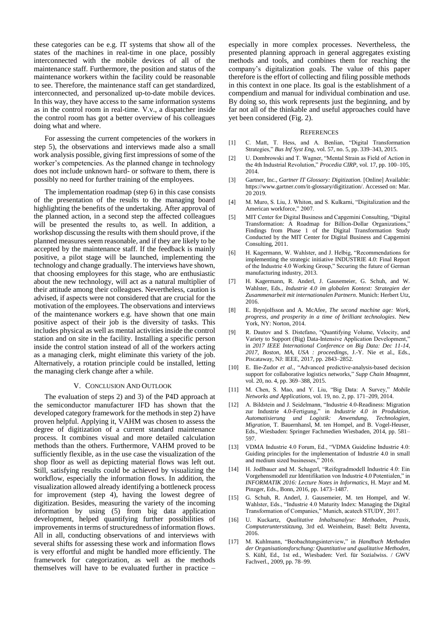these categories can be e.g. IT systems that show all of the states of the machines in real-time in one place, possibly interconnected with the mobile devices of all of the maintenance staff. Furthermore, the position and status of the maintenance workers within the facility could be reasonable to see. Therefore, the maintenance staff can get standardized, interconnected, and personalized up-to-date mobile devices. In this way, they have access to the same information systems as in the control room in real-time. V.v., a dispatcher inside the control room has got a better overview of his colleagues doing what and where.

For assessing the current competencies of the workers in step 5), the observations and interviews made also a small work analysis possible, giving first impressions of some of the worker's competencies. As the planned change in technology does not include unknown hard- or software to them, there is possibly no need for further training of the employees.

The implementation roadmap (step 6) in this case consists of the presentation of the results to the managing board highlighting the benefits of the undertaking. After approval of the planned action, in a second step the affected colleagues will be presented the results to, as well. In addition, a workshop discussing the results with them should prove, if the planned measures seem reasonable, and if they are likely to be accepted by the maintenance staff. If the feedback is mainly positive, a pilot stage will be launched, implementing the technology and change gradually. The interviews have shown, that choosing employees for this stage, who are enthusiastic about the new technology, will act as a natural multiplier of their attitude among their colleagues. Nevertheless, caution is advised, if aspects were not considered that are crucial for the motivation of the employees. The observations and interviews of the maintenance workers e.g. have shown that one main positive aspect of their job is the diversity of tasks. This includes physical as well as mental activities inside the control station and on site in the facility. Installing a specific person inside the control station instead of all of the workers acting as a managing clerk, might eliminate this variety of the job. Alternatively, a rotation principle could be installed, letting the managing clerk change after a while.

### V. CONCLUSION AND OUTLOOK

The evaluation of steps 2) and 3) of the P4D approach at the semiconductor manufacturer IFD has shown that the developed category framework for the methods in step 2) have proven helpful. Applying it, VAHM was chosen to assess the degree of digitization of a current standard maintenance process. It combines visual and more detailed calculation methods than the others. Furthermore, VAHM proved to be sufficiently flexible, as in the use case the visualization of the shop floor as well as depicting material flows was left out. Still, satisfying results could be achieved by visualizing the workflow, especially the information flows. In addition, the visualization allowed already identifying a bottleneck process for improvement (step 4), having the lowest degree of digitization. Besides, measuring the variety of the incoming information by using (5) from big data application development, helped quantifying further possibilities of improvements in terms of structuredness of information flows. All in all, conducting observations of and interviews with several shifts for assessing these work and information flows is very effortful and might be handled more efficiently. The framework for categorization, as well as the methods themselves will have to be evaluated further in practice –

especially in more complex processes. Nevertheless, the presented planning approach in general aggregates existing methods and tools, and combines them for reaching the company's digitalization goals. The value of this paper therefore is the effort of collecting and filing possible methods in this context in one place. Its goal is the establishment of a compendium and manual for individual combination and use. By doing so, this work represents just the beginning, and by far not all of the thinkable and useful approaches could have yet been considered (Fig. 2).

#### **REFERENCES**

- [1] C. Matt, T. Hess, and A. Benlian, "Digital Transformation Strategies," *Bus Inf Syst Eng*, vol. 57, no. 5, pp. 339–343, 2015.
- [2] U. Dombrowski and T. Wagner, "Mental Strain as Field of Action in the 4th Industrial Revolution," *Procedia CIRP*, vol. 17, pp. 100–105, 2014.
- [3] Gartner, Inc., *Gartner IT Glossary: Digitization*. [Online] Available: https://www.gartner.com/it-glossary/digitization/. Accessed on: Mar. 20 2019.
- [4] M. Muro, S. Liu, J. Whiton, and S. Kulkarni, "Digitalization and the American workforce," 2007.
- [5] MIT Center for Digital Business and Capgemini Consulting, "Digital Transformation: A Roadmap for Billion-Dollar Organizations," Findings from Phase 1 of the Digital Transformation Study Conducted by the MIT Center for Digital Business and Capgemini Consulting, 2011.
- [6] H. Kagermann, W. Wahlster, and J. Helbig, "Recommendations for implementing the strategic initiative INDUSTRIE 4.0: Final Report of the Industrie 4.0 Working Group," Securing the future of German manufacturing industry, 2013.
- [7] H. Kagermann, R. Anderl, J. Gausemeier, G. Schuh, and W. Wahlster, Eds., *Industrie 4.0 im globalen Kontext: Strategien der Zusammenarbeit mit internationalen Partnern*. Munich: Herbert Utz, 2016.
- [8] E. Brynjolfsson and A. McAfee, *The second machine age: Work, progress, and prosperity in a time of brilliant technologies*. New York, NY: Norton, 2014.
- R. Dautov and S. Distefano, "Quantifying Volume, Velocity, and Variety to Support (Big) Data-Intensive Application Development," in *2017 IEEE International Conference on Big Data: Dec 11-14, 2017, Boston, MA, USA : proceedings*, J.-Y. Nie et al., Eds., Piscataway, NJ: IEEE, 2017, pp. 2843–2852.
- [10] E. Ilie-Zudor *et al.,* "Advanced predictive-analysis-based decision support for collaborative logistics networks," *Supp Chain Mnagmnt*, vol. 20, no. 4, pp. 369–388, 2015.
- [11] M. Chen, S. Mao, and Y. Liu, "Big Data: A Survey," *Mobile Networks and Applications*, vol. 19, no. 2, pp. 171–209, 2014.
- [12] A. Bildstein and J. Seidelmann, "Industrie 4.0-Readiness: Migration zur Industrie 4.0-Fertigung," in *Industrie 4.0 in Produktion, Automatisierung und Logistik: Anwendung, Technologien, Migration*, T. Bauernhansl, M. ten Hompel, and B. Vogel-Heuser, Eds., Wiesbaden: Springer Fachmedien Wiesbaden, 2014, pp. 581– 597.
- [13] VDMA Industrie 4.0 Forum, Ed., "VDMA Guideline Industrie 4.0: Guiding principles for the implementation of Industrie 4.0 in small and medium sized businesses," 2016.
- [14] H. Jodlbauer and M. Schagerl, "Reifegradmodell Industrie 4.0: Ein Vorgehensmodell zur Identifikation von Industrie 4.0 Potentialen," in *INFORMATIK 2016: Lecture Notes in Informatics*, H. Mayr and M. Pinzger, Eds., Bonn, 2016, pp. 1473–1487.
- [15] G. Schuh, R. Anderl, J. Gausemeier, M. ten Hompel, and W. Wahlster, Eds., "Industrie 4.0 Maturity Index: Managing the Digital Transformation of Companies," Munich, acatech STUDY, 2017.
- [16] U. Kuckartz, *Qualitative Inhaltsanalyse: Methoden, Praxis, Computerunterstützung,* 3rd ed. Weinheim, Basel: Beltz Juventa, 2016.
- [17] M. Kuhlmann, "Beobachtungsinterview," in *Handbuch Methoden der Organisationsforschung: Quantitative und qualitative Methoden*, S. Kühl, Ed., 1st ed., Wiesbaden: Verl. für Sozialwiss. / GWV Fachverl., 2009, pp. 78–99.